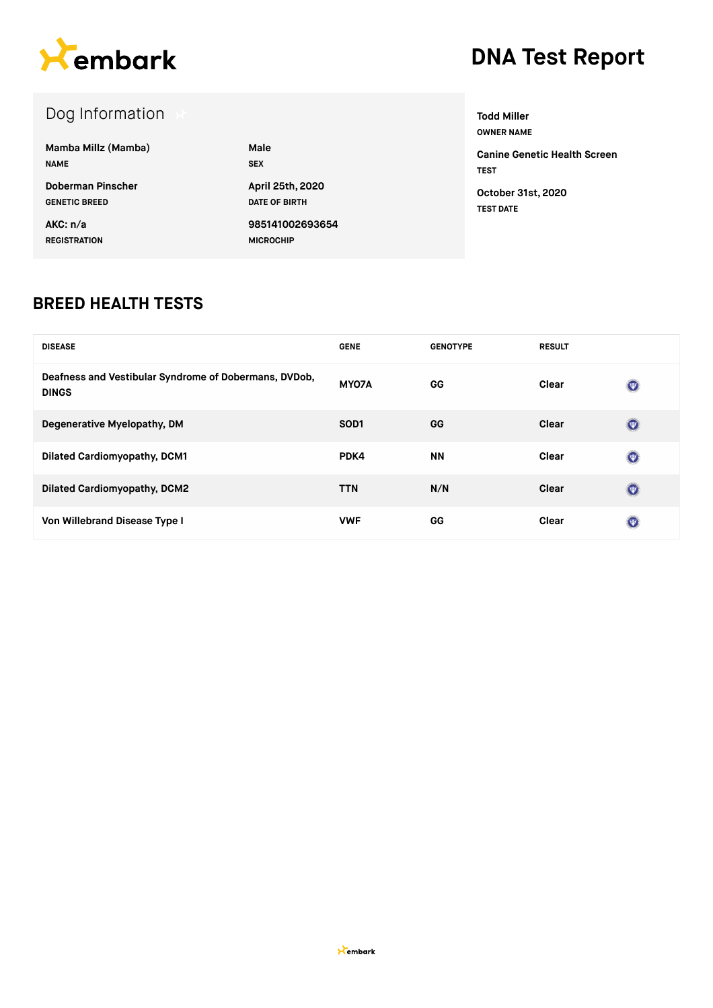

### Dog Information

| Mamba Millz (Mamba)  | Male                 |
|----------------------|----------------------|
| <b>NAME</b>          | <b>SEX</b>           |
| Doberman Pinscher    | April 25th, 2020     |
| <b>GENETIC BREED</b> | <b>DATE OF BIRTH</b> |
| AKC: n/a             | 985141002693654      |
| <b>REGISTRATION</b>  | <b>MICROCHIP</b>     |

**Todd Miller OWNER NAME Canine Genetic Health Screen TEST**

**October 31st, 2020 TEST DATE**

#### **BREED HEALTH TESTS**

| <b>DISEASE</b>                                                        | <b>GENE</b>       | <b>GENOTYPE</b> | <b>RESULT</b> |                |
|-----------------------------------------------------------------------|-------------------|-----------------|---------------|----------------|
| Deafness and Vestibular Syndrome of Dobermans, DVDob,<br><b>DINGS</b> | MY07A             | GG              | Clear         | $(\nabla)$     |
| Degenerative Myelopathy, DM                                           | SO <sub>D</sub> 1 | GG              | Clear         | $(\mathbf{w})$ |
| <b>Dilated Cardiomyopathy, DCM1</b>                                   | PDK4              | <b>NN</b>       | Clear         | $(\nabla)$     |
| <b>Dilated Cardiomyopathy, DCM2</b>                                   | <b>TTN</b>        | N/N             | Clear         | $(\mathbf{w})$ |
| Von Willebrand Disease Type I                                         | <b>VWF</b>        | GG              | Clear         | (西)            |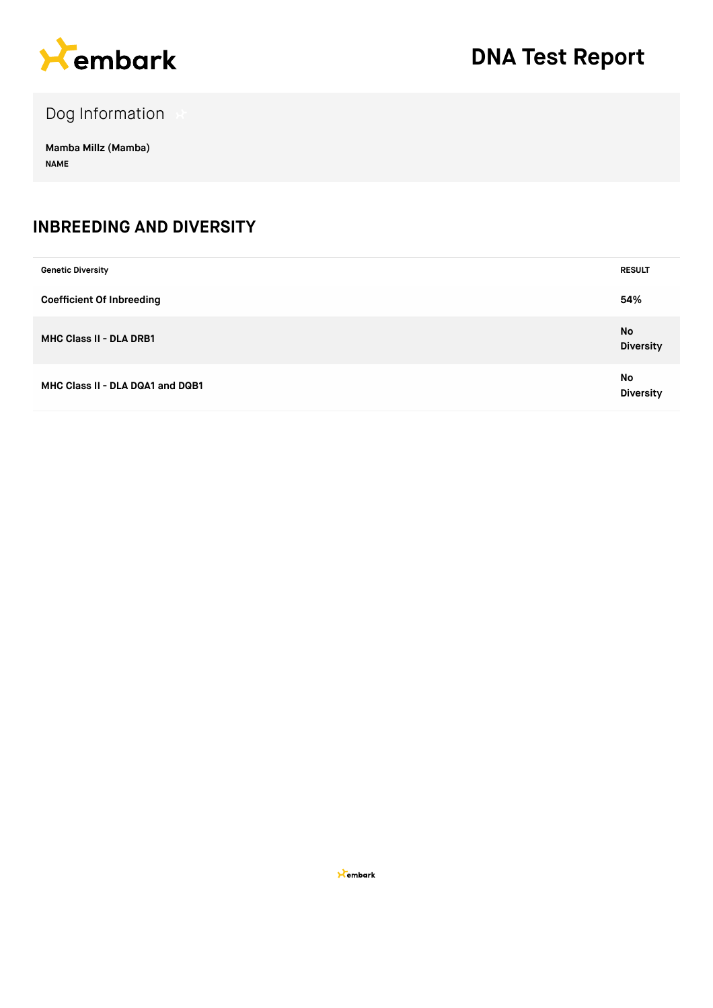

Dog Information

**Mamba Millz (Mamba) NAME**

#### **INBREEDING AND DIVERSITY**

| <b>Genetic Diversity</b>         | <b>RESULT</b>                 |
|----------------------------------|-------------------------------|
| <b>Coefficient Of Inbreeding</b> | 54%                           |
| MHC Class II - DLA DRB1          | <b>No</b><br><b>Diversity</b> |
| MHC Class II - DLA DQA1 and DQB1 | <b>No</b><br><b>Diversity</b> |

**X**embark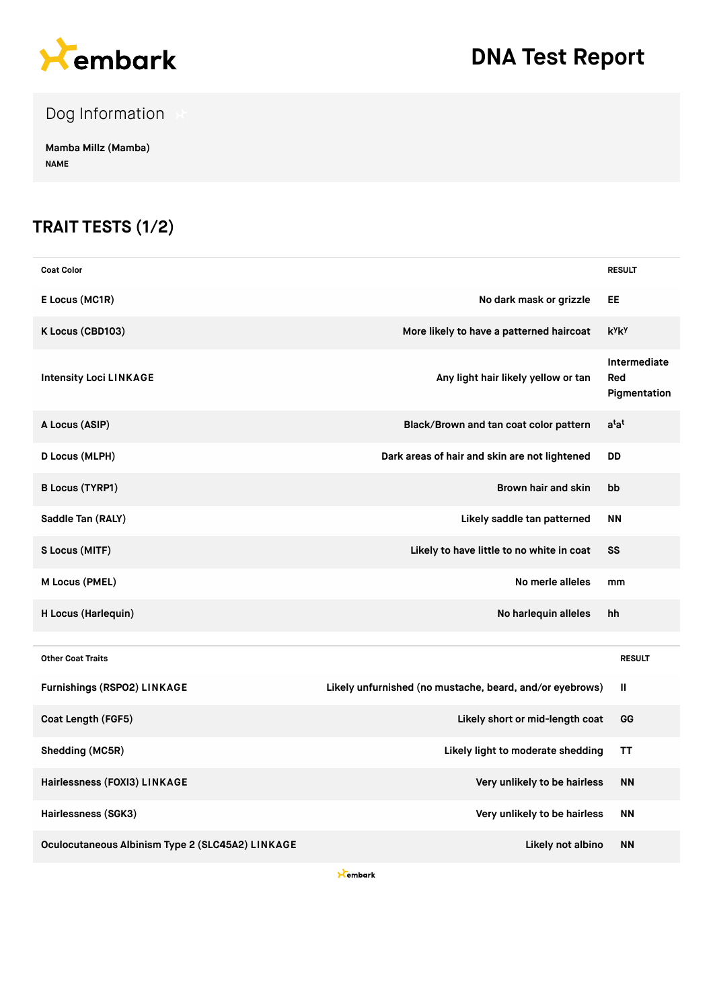

Dog Information

**Mamba Millz (Mamba) NAME**

### **TRAIT TESTS (1/2)**

| <b>Coat Color</b>                                |                                                          | <b>RESULT</b>                       |
|--------------------------------------------------|----------------------------------------------------------|-------------------------------------|
| E Locus (MC1R)                                   | No dark mask or grizzle                                  | EE                                  |
| K Locus (CBD103)                                 | More likely to have a patterned haircoat                 | kyky                                |
| <b>Intensity Loci LINKAGE</b>                    | Any light hair likely yellow or tan                      | Intermediate<br>Red<br>Pigmentation |
| A Locus (ASIP)                                   | Black/Brown and tan coat color pattern                   | a <sup>t</sup> a <sup>t</sup>       |
| D Locus (MLPH)                                   | Dark areas of hair and skin are not lightened            | DD                                  |
| <b>B Locus (TYRP1)</b>                           | Brown hair and skin                                      | bb                                  |
| Saddle Tan (RALY)                                | Likely saddle tan patterned                              | <b>NN</b>                           |
| S Locus (MITF)                                   | Likely to have little to no white in coat                | SS                                  |
| M Locus (PMEL)                                   | No merle alleles                                         | mm                                  |
| H Locus (Harlequin)                              | No harlequin alleles                                     | hh                                  |
| <b>Other Coat Traits</b>                         |                                                          | <b>RESULT</b>                       |
| <b>Furnishings (RSPO2) LINKAGE</b>               | Likely unfurnished (no mustache, beard, and/or eyebrows) | Ш                                   |
| Coat Length (FGF5)                               | Likely short or mid-length coat                          | GG                                  |
| Shedding (MC5R)                                  | Likely light to moderate shedding                        | ΤT                                  |
| Hairlessness (FOXI3) LINKAGE                     | Very unlikely to be hairless                             | <b>NN</b>                           |
| Hairlessness (SGK3)                              | Very unlikely to be hairless                             | <b>NN</b>                           |
| Oculocutaneous Albinism Type 2 (SLC45A2) LINKAGE | Likely not albino                                        | <b>NN</b>                           |

**X**embark